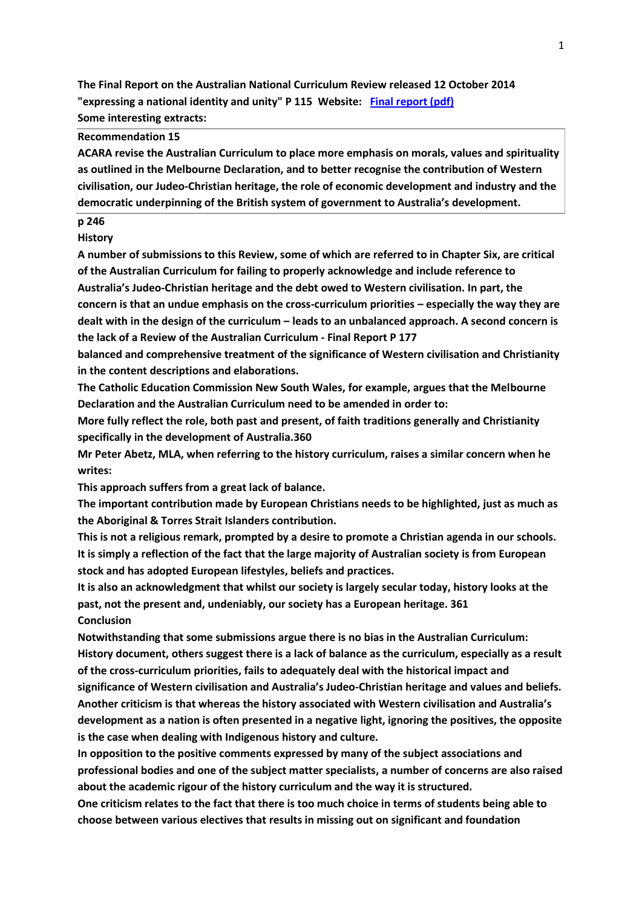**The Final Report on the Australian National Curriculum Review released 12 October 2014 "expressing a national identity and unity" P 115 Website: [Final report \(pdf\)](http://docs.education.gov.au/system/files/doc/other/review_of_the_national_curriculum_final_report.pdf)  Some interesting extracts:**

# **Recommendation 15**

**ACARA revise the Australian Curriculum to place more emphasis on morals, values and spirituality as outlined in the Melbourne Declaration, and to better recognise the contribution of Western civilisation, our Judeo-Christian heritage, the role of economic development and industry and the democratic underpinning of the British system of government to Australia's development.**

## **p 246**

**History**

**A number of submissions to this Review, some of which are referred to in Chapter Six, are critical of the Australian Curriculum for failing to properly acknowledge and include reference to Australia's Judeo-Christian heritage and the debt owed to Western civilisation. In part, the concern is that an undue emphasis on the cross-curriculum priorities – especially the way they are dealt with in the design of the curriculum – leads to an unbalanced approach. A second concern is the lack of a Review of the Australian Curriculum - Final Report P 177**

**balanced and comprehensive treatment of the significance of Western civilisation and Christianity in the content descriptions and elaborations.**

**The Catholic Education Commission New South Wales, for example, argues that the Melbourne Declaration and the Australian Curriculum need to be amended in order to:**

**More fully reflect the role, both past and present, of faith traditions generally and Christianity specifically in the development of Australia.360**

**Mr Peter Abetz, MLA, when referring to the history curriculum, raises a similar concern when he writes:**

**This approach suffers from a great lack of balance.**

**The important contribution made by European Christians needs to be highlighted, just as much as the Aboriginal & Torres Strait Islanders contribution.**

**This is not a religious remark, prompted by a desire to promote a Christian agenda in our schools. It is simply a reflection of the fact that the large majority of Australian society is from European stock and has adopted European lifestyles, beliefs and practices.**

**It is also an acknowledgment that whilst our society is largely secular today, history looks at the past, not the present and, undeniably, our society has a European heritage. 361 Conclusion**

**Notwithstanding that some submissions argue there is no bias in the Australian Curriculum: History document, others suggest there is a lack of balance as the curriculum, especially as a result of the cross-curriculum priorities, fails to adequately deal with the historical impact and significance of Western civilisation and Australia's Judeo-Christian heritage and values and beliefs. Another criticism is that whereas the history associated with Western civilisation and Australia's development as a nation is often presented in a negative light, ignoring the positives, the opposite is the case when dealing with Indigenous history and culture.**

**In opposition to the positive comments expressed by many of the subject associations and professional bodies and one of the subject matter specialists, a number of concerns are also raised about the academic rigour of the history curriculum and the way it is structured.**

**One criticism relates to the fact that there is too much choice in terms of students being able to choose between various electives that results in missing out on significant and foundation**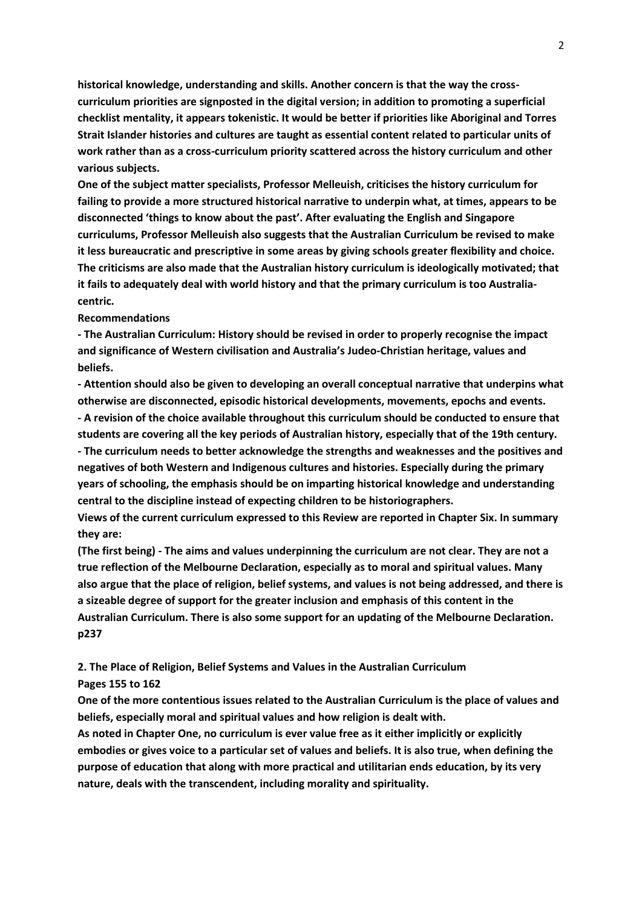**historical knowledge, understanding and skills. Another concern is that the way the crosscurriculum priorities are signposted in the digital version; in addition to promoting a superficial checklist mentality, it appears tokenistic. It would be better if priorities like Aboriginal and Torres Strait Islander histories and cultures are taught as essential content related to particular units of work rather than as a cross-curriculum priority scattered across the history curriculum and other various subjects.**

**One of the subject matter specialists, Professor Melleuish, criticises the history curriculum for failing to provide a more structured historical narrative to underpin what, at times, appears to be disconnected 'things to know about the past'. After evaluating the English and Singapore curriculums, Professor Melleuish also suggests that the Australian Curriculum be revised to make it less bureaucratic and prescriptive in some areas by giving schools greater flexibility and choice. The criticisms are also made that the Australian history curriculum is ideologically motivated; that it fails to adequately deal with world history and that the primary curriculum is too Australiacentric.**

#### **Recommendations**

**- The Australian Curriculum: History should be revised in order to properly recognise the impact and significance of Western civilisation and Australia's Judeo-Christian heritage, values and beliefs.**

**- Attention should also be given to developing an overall conceptual narrative that underpins what otherwise are disconnected, episodic historical developments, movements, epochs and events. - A revision of the choice available throughout this curriculum should be conducted to ensure that students are covering all the key periods of Australian history, especially that of the 19th century. - The curriculum needs to better acknowledge the strengths and weaknesses and the positives and negatives of both Western and Indigenous cultures and histories. Especially during the primary years of schooling, the emphasis should be on imparting historical knowledge and understanding central to the discipline instead of expecting children to be historiographers.**

**Views of the current curriculum expressed to this Review are reported in Chapter Six. In summary they are:**

**(The first being) - The aims and values underpinning the curriculum are not clear. They are not a true reflection of the Melbourne Declaration, especially as to moral and spiritual values. Many also argue that the place of religion, belief systems, and values is not being addressed, and there is a sizeable degree of support for the greater inclusion and emphasis of this content in the Australian Curriculum. There is also some support for an updating of the Melbourne Declaration. p237**

**2. The Place of Religion, Belief Systems and Values in the Australian Curriculum**

### **Pages 155 to 162**

**One of the more contentious issues related to the Australian Curriculum is the place of values and beliefs, especially moral and spiritual values and how religion is dealt with.**

**As noted in Chapter One, no curriculum is ever value free as it either implicitly or explicitly embodies or gives voice to a particular set of values and beliefs. It is also true, when defining the purpose of education that along with more practical and utilitarian ends education, by its very nature, deals with the transcendent, including morality and spirituality.**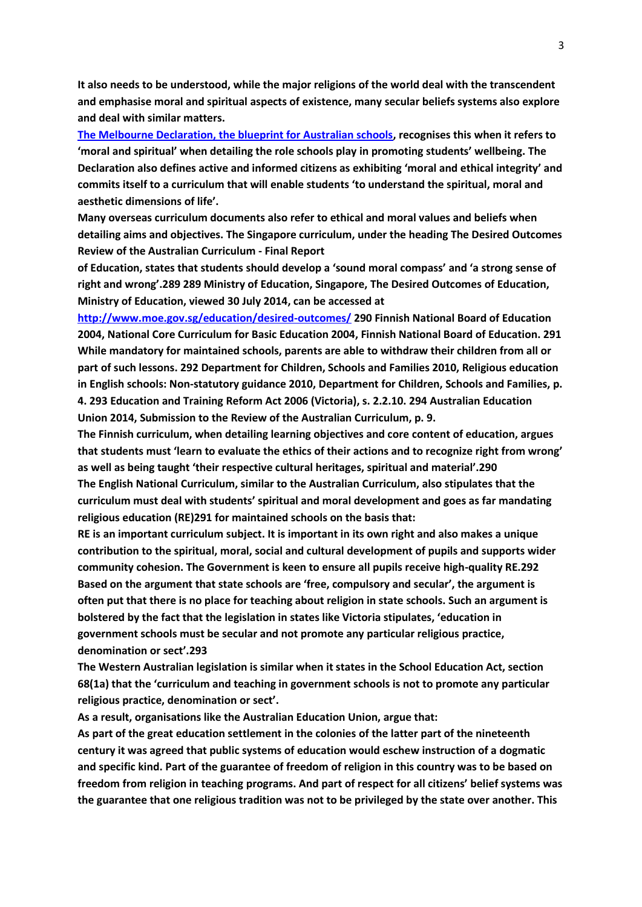**It also needs to be understood, while the major religions of the world deal with the transcendent and emphasise moral and spiritual aspects of existence, many secular beliefs systems also explore and deal with similar matters.**

**[The Melbourne Declaration, the blueprint for Australian schools,](http://www.curriculum.edu.au/verve/_resources/National_Declaration_on_the_Educational_Goals_for_Young_Australians.pdf) recognises this when it refers to 'moral and spiritual' when detailing the role schools play in promoting students' wellbeing. The Declaration also defines active and informed citizens as exhibiting 'moral and ethical integrity' and commits itself to a curriculum that will enable students 'to understand the spiritual, moral and aesthetic dimensions of life'.**

**Many overseas curriculum documents also refer to ethical and moral values and beliefs when detailing aims and objectives. The Singapore curriculum, under the heading The Desired Outcomes Review of the Australian Curriculum - Final Report**

**of Education, states that students should develop a 'sound moral compass' and 'a strong sense of right and wrong'.289 289 Ministry of Education, Singapore, The Desired Outcomes of Education, Ministry of Education, viewed 30 July 2014, can be accessed at** 

**<http://www.moe.gov.sg/education/desired-outcomes/> 290 Finnish National Board of Education 2004, National Core Curriculum for Basic Education 2004, Finnish National Board of Education. 291 While mandatory for maintained schools, parents are able to withdraw their children from all or part of such lessons. 292 Department for Children, Schools and Families 2010, Religious education in English schools: Non-statutory guidance 2010, Department for Children, Schools and Families, p. 4. 293 Education and Training Reform Act 2006 (Victoria), s. 2.2.10. 294 Australian Education Union 2014, Submission to the Review of the Australian Curriculum, p. 9.**

**The Finnish curriculum, when detailing learning objectives and core content of education, argues that students must 'learn to evaluate the ethics of their actions and to recognize right from wrong' as well as being taught 'their respective cultural heritages, spiritual and material'.290 The English National Curriculum, similar to the Australian Curriculum, also stipulates that the curriculum must deal with students' spiritual and moral development and goes as far mandating religious education (RE)291 for maintained schools on the basis that:**

**RE is an important curriculum subject. It is important in its own right and also makes a unique contribution to the spiritual, moral, social and cultural development of pupils and supports wider community cohesion. The Government is keen to ensure all pupils receive high-quality RE.292 Based on the argument that state schools are 'free, compulsory and secular', the argument is often put that there is no place for teaching about religion in state schools. Such an argument is bolstered by the fact that the legislation in states like Victoria stipulates, 'education in government schools must be secular and not promote any particular religious practice, denomination or sect'.293**

**The Western Australian legislation is similar when it states in the School Education Act, section 68(1a) that the 'curriculum and teaching in government schools is not to promote any particular religious practice, denomination or sect'.**

**As a result, organisations like the Australian Education Union, argue that:**

**As part of the great education settlement in the colonies of the latter part of the nineteenth century it was agreed that public systems of education would eschew instruction of a dogmatic and specific kind. Part of the guarantee of freedom of religion in this country was to be based on freedom from religion in teaching programs. And part of respect for all citizens' belief systems was the guarantee that one religious tradition was not to be privileged by the state over another. This**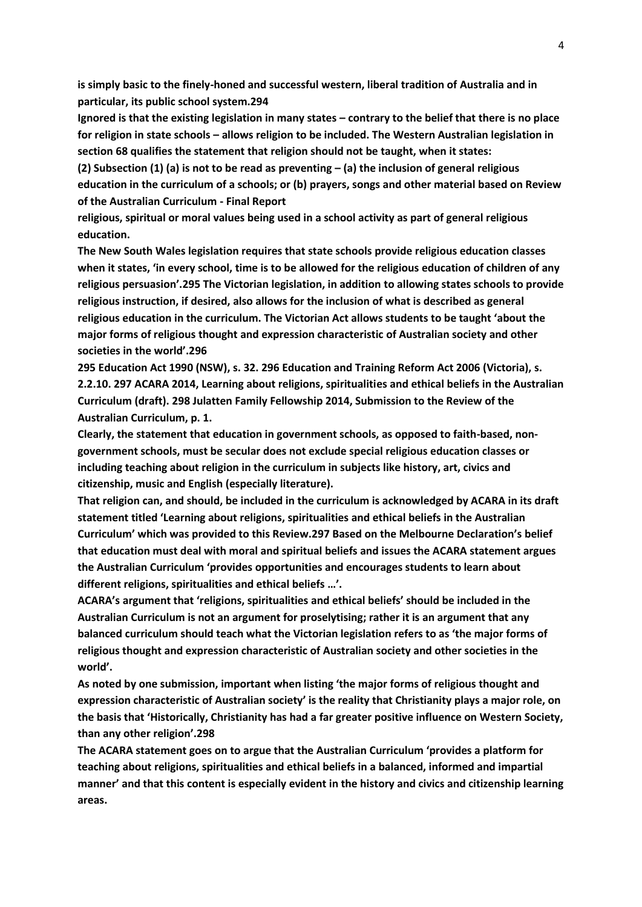**is simply basic to the finely-honed and successful western, liberal tradition of Australia and in particular, its public school system.294**

**Ignored is that the existing legislation in many states – contrary to the belief that there is no place for religion in state schools – allows religion to be included. The Western Australian legislation in section 68 qualifies the statement that religion should not be taught, when it states:**

**(2) Subsection (1) (a) is not to be read as preventing – (a) the inclusion of general religious education in the curriculum of a schools; or (b) prayers, songs and other material based on Review of the Australian Curriculum - Final Report**

**religious, spiritual or moral values being used in a school activity as part of general religious education.**

**The New South Wales legislation requires that state schools provide religious education classes when it states, 'in every school, time is to be allowed for the religious education of children of any religious persuasion'.295 The Victorian legislation, in addition to allowing states schools to provide religious instruction, if desired, also allows for the inclusion of what is described as general religious education in the curriculum. The Victorian Act allows students to be taught 'about the major forms of religious thought and expression characteristic of Australian society and other societies in the world'.296**

**295 Education Act 1990 (NSW), s. 32. 296 Education and Training Reform Act 2006 (Victoria), s. 2.2.10. 297 ACARA 2014, Learning about religions, spiritualities and ethical beliefs in the Australian Curriculum (draft). 298 Julatten Family Fellowship 2014, Submission to the Review of the Australian Curriculum, p. 1.**

**Clearly, the statement that education in government schools, as opposed to faith-based, nongovernment schools, must be secular does not exclude special religious education classes or including teaching about religion in the curriculum in subjects like history, art, civics and citizenship, music and English (especially literature).**

**That religion can, and should, be included in the curriculum is acknowledged by ACARA in its draft statement titled 'Learning about religions, spiritualities and ethical beliefs in the Australian Curriculum' which was provided to this Review.297 Based on the Melbourne Declaration's belief that education must deal with moral and spiritual beliefs and issues the ACARA statement argues the Australian Curriculum 'provides opportunities and encourages students to learn about different religions, spiritualities and ethical beliefs …'.**

**ACARA's argument that 'religions, spiritualities and ethical beliefs' should be included in the Australian Curriculum is not an argument for proselytising; rather it is an argument that any balanced curriculum should teach what the Victorian legislation refers to as 'the major forms of religious thought and expression characteristic of Australian society and other societies in the world'.**

**As noted by one submission, important when listing 'the major forms of religious thought and expression characteristic of Australian society' is the reality that Christianity plays a major role, on the basis that 'Historically, Christianity has had a far greater positive influence on Western Society, than any other religion'.298**

**The ACARA statement goes on to argue that the Australian Curriculum 'provides a platform for teaching about religions, spiritualities and ethical beliefs in a balanced, informed and impartial manner' and that this content is especially evident in the history and civics and citizenship learning areas.**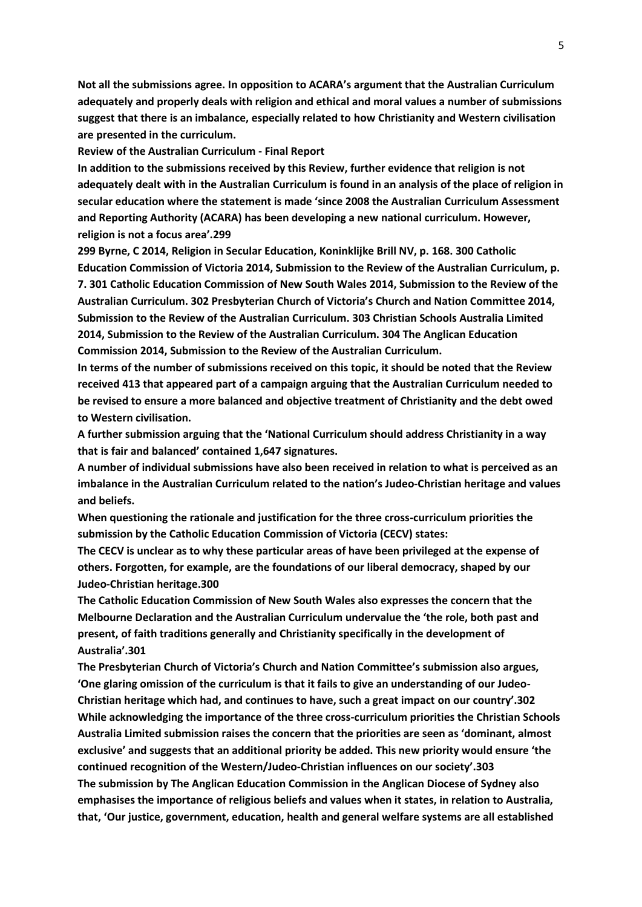**Not all the submissions agree. In opposition to ACARA's argument that the Australian Curriculum adequately and properly deals with religion and ethical and moral values a number of submissions suggest that there is an imbalance, especially related to how Christianity and Western civilisation are presented in the curriculum.**

**Review of the Australian Curriculum - Final Report** 

**In addition to the submissions received by this Review, further evidence that religion is not adequately dealt with in the Australian Curriculum is found in an analysis of the place of religion in secular education where the statement is made 'since 2008 the Australian Curriculum Assessment and Reporting Authority (ACARA) has been developing a new national curriculum. However, religion is not a focus area'.299**

**299 Byrne, C 2014, Religion in Secular Education, Koninklijke Brill NV, p. 168. 300 Catholic Education Commission of Victoria 2014, Submission to the Review of the Australian Curriculum, p. 7. 301 Catholic Education Commission of New South Wales 2014, Submission to the Review of the Australian Curriculum. 302 Presbyterian Church of Victoria's Church and Nation Committee 2014, Submission to the Review of the Australian Curriculum. 303 Christian Schools Australia Limited 2014, Submission to the Review of the Australian Curriculum. 304 The Anglican Education Commission 2014, Submission to the Review of the Australian Curriculum.**

**In terms of the number of submissions received on this topic, it should be noted that the Review received 413 that appeared part of a campaign arguing that the Australian Curriculum needed to be revised to ensure a more balanced and objective treatment of Christianity and the debt owed to Western civilisation.**

**A further submission arguing that the 'National Curriculum should address Christianity in a way that is fair and balanced' contained 1,647 signatures.**

**A number of individual submissions have also been received in relation to what is perceived as an imbalance in the Australian Curriculum related to the nation's Judeo-Christian heritage and values and beliefs.**

**When questioning the rationale and justification for the three cross-curriculum priorities the submission by the Catholic Education Commission of Victoria (CECV) states:**

**The CECV is unclear as to why these particular areas of have been privileged at the expense of others. Forgotten, for example, are the foundations of our liberal democracy, shaped by our Judeo-Christian heritage.300**

**The Catholic Education Commission of New South Wales also expresses the concern that the Melbourne Declaration and the Australian Curriculum undervalue the 'the role, both past and present, of faith traditions generally and Christianity specifically in the development of Australia'.301**

**The Presbyterian Church of Victoria's Church and Nation Committee's submission also argues, 'One glaring omission of the curriculum is that it fails to give an understanding of our Judeo-Christian heritage which had, and continues to have, such a great impact on our country'.302 While acknowledging the importance of the three cross-curriculum priorities the Christian Schools Australia Limited submission raises the concern that the priorities are seen as 'dominant, almost exclusive' and suggests that an additional priority be added. This new priority would ensure 'the continued recognition of the Western/Judeo-Christian influences on our society'.303 The submission by The Anglican Education Commission in the Anglican Diocese of Sydney also emphasises the importance of religious beliefs and values when it states, in relation to Australia, that, 'Our justice, government, education, health and general welfare systems are all established**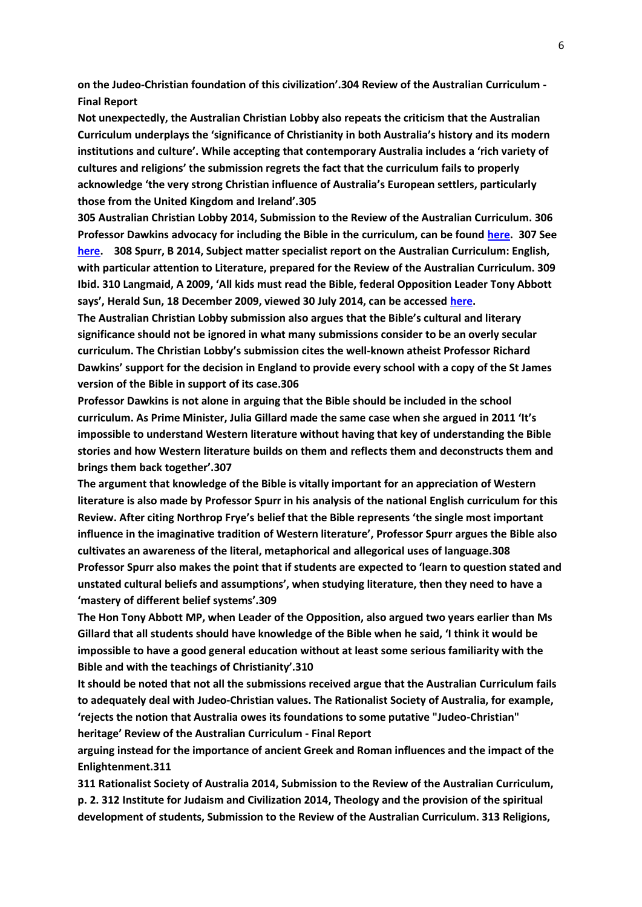**on the Judeo-Christian foundation of this civilization'.304 Review of the Australian Curriculum - Final Report**

**Not unexpectedly, the Australian Christian Lobby also repeats the criticism that the Australian Curriculum underplays the 'significance of Christianity in both Australia's history and its modern institutions and culture'. While accepting that contemporary Australia includes a 'rich variety of cultures and religions' the submission regrets the fact that the curriculum fails to properly acknowledge 'the very strong Christian influence of Australia's European settlers, particularly those from the United Kingdom and Ireland'.305**

**305 Australian Christian Lobby 2014, Submission to the Review of the Australian Curriculum. 306 Professor Dawkins advocacy for including the Bible in the curriculum, can be found [here.](http://www.theguardian.com/science/2012/may/19/richard-dawkins-king-james-bible) 307 See [here.](http://www.theaustralian.com.au/national-affairs/julia-gillard-makes-stand-as-a-social-conservative/story-fn59niix-1226025066869) 308 Spurr, B 2014, Subject matter specialist report on the Australian Curriculum: English, with particular attention to Literature, prepared for the Review of the Australian Curriculum. 309 Ibid. 310 Langmaid, A 2009, 'All kids must read the Bible, federal Opposition Leader Tony Abbott says', Herald Sun, 18 December 2009, viewed 30 July 2014, can be accessed [here.](http://www.heraldsun.com.au/archive/news/all-kids-must-read-the-bible-federal-opposition-leader-tony-abbott-says/story-e6frf7l6-1225811885777)**

**The Australian Christian Lobby submission also argues that the Bible's cultural and literary significance should not be ignored in what many submissions consider to be an overly secular curriculum. The Christian Lobby's submission cites the well-known atheist Professor Richard Dawkins' support for the decision in England to provide every school with a copy of the St James version of the Bible in support of its case.306**

**Professor Dawkins is not alone in arguing that the Bible should be included in the school curriculum. As Prime Minister, Julia Gillard made the same case when she argued in 2011 'It's impossible to understand Western literature without having that key of understanding the Bible stories and how Western literature builds on them and reflects them and deconstructs them and brings them back together'.307**

**The argument that knowledge of the Bible is vitally important for an appreciation of Western literature is also made by Professor Spurr in his analysis of the national English curriculum for this Review. After citing Northrop Frye's belief that the Bible represents 'the single most important influence in the imaginative tradition of Western literature', Professor Spurr argues the Bible also cultivates an awareness of the literal, metaphorical and allegorical uses of language.308 Professor Spurr also makes the point that if students are expected to 'learn to question stated and unstated cultural beliefs and assumptions', when studying literature, then they need to have a 'mastery of different belief systems'.309**

**The Hon Tony Abbott MP, when Leader of the Opposition, also argued two years earlier than Ms Gillard that all students should have knowledge of the Bible when he said, 'I think it would be impossible to have a good general education without at least some serious familiarity with the Bible and with the teachings of Christianity'.310**

**It should be noted that not all the submissions received argue that the Australian Curriculum fails to adequately deal with Judeo-Christian values. The Rationalist Society of Australia, for example, 'rejects the notion that Australia owes its foundations to some putative "Judeo-Christian" heritage' Review of the Australian Curriculum - Final Report**

**arguing instead for the importance of ancient Greek and Roman influences and the impact of the Enlightenment.311**

**311 Rationalist Society of Australia 2014, Submission to the Review of the Australian Curriculum, p. 2. 312 Institute for Judaism and Civilization 2014, Theology and the provision of the spiritual development of students, Submission to the Review of the Australian Curriculum. 313 Religions,**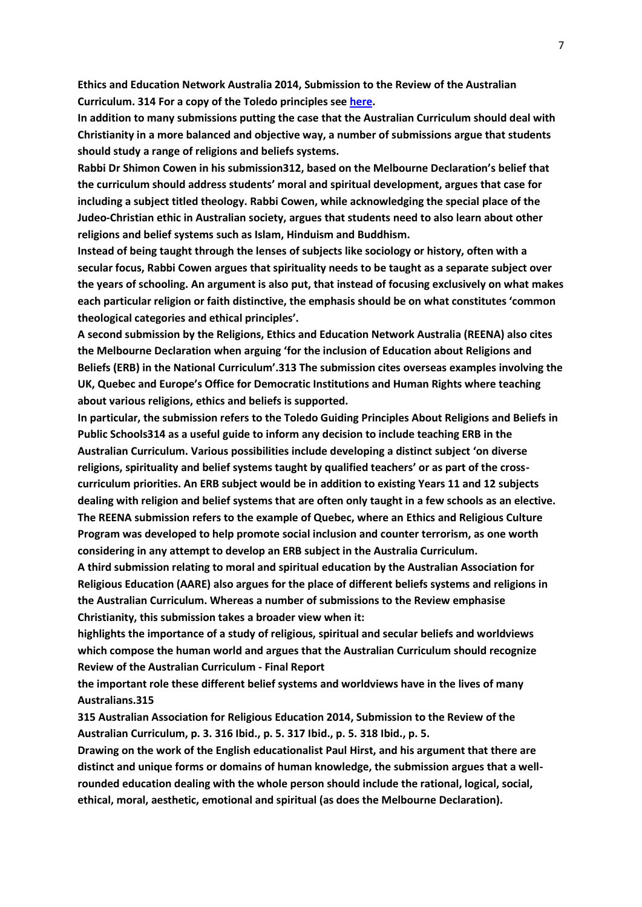**Ethics and Education Network Australia 2014, Submission to the Review of the Australian Curriculum. 314 For a copy of the Toledo principles see [here.](http://www.osce.org/odihr/29154)**

**In addition to many submissions putting the case that the Australian Curriculum should deal with Christianity in a more balanced and objective way, a number of submissions argue that students should study a range of religions and beliefs systems.**

**Rabbi Dr Shimon Cowen in his submission312, based on the Melbourne Declaration's belief that the curriculum should address students' moral and spiritual development, argues that case for including a subject titled theology. Rabbi Cowen, while acknowledging the special place of the Judeo-Christian ethic in Australian society, argues that students need to also learn about other religions and belief systems such as Islam, Hinduism and Buddhism.**

**Instead of being taught through the lenses of subjects like sociology or history, often with a secular focus, Rabbi Cowen argues that spirituality needs to be taught as a separate subject over the years of schooling. An argument is also put, that instead of focusing exclusively on what makes each particular religion or faith distinctive, the emphasis should be on what constitutes 'common theological categories and ethical principles'.**

**A second submission by the Religions, Ethics and Education Network Australia (REENA) also cites the Melbourne Declaration when arguing 'for the inclusion of Education about Religions and Beliefs (ERB) in the National Curriculum'.313 The submission cites overseas examples involving the UK, Quebec and Europe's Office for Democratic Institutions and Human Rights where teaching about various religions, ethics and beliefs is supported.**

**In particular, the submission refers to the Toledo Guiding Principles About Religions and Beliefs in Public Schools314 as a useful guide to inform any decision to include teaching ERB in the Australian Curriculum. Various possibilities include developing a distinct subject 'on diverse religions, spirituality and belief systems taught by qualified teachers' or as part of the crosscurriculum priorities. An ERB subject would be in addition to existing Years 11 and 12 subjects dealing with religion and belief systems that are often only taught in a few schools as an elective. The REENA submission refers to the example of Quebec, where an Ethics and Religious Culture Program was developed to help promote social inclusion and counter terrorism, as one worth considering in any attempt to develop an ERB subject in the Australia Curriculum.**

**A third submission relating to moral and spiritual education by the Australian Association for Religious Education (AARE) also argues for the place of different beliefs systems and religions in the Australian Curriculum. Whereas a number of submissions to the Review emphasise Christianity, this submission takes a broader view when it:**

**highlights the importance of a study of religious, spiritual and secular beliefs and worldviews which compose the human world and argues that the Australian Curriculum should recognize Review of the Australian Curriculum - Final Report**

**the important role these different belief systems and worldviews have in the lives of many Australians.315**

**315 Australian Association for Religious Education 2014, Submission to the Review of the Australian Curriculum, p. 3. 316 Ibid., p. 5. 317 Ibid., p. 5. 318 Ibid., p. 5.**

**Drawing on the work of the English educationalist Paul Hirst, and his argument that there are distinct and unique forms or domains of human knowledge, the submission argues that a wellrounded education dealing with the whole person should include the rational, logical, social, ethical, moral, aesthetic, emotional and spiritual (as does the Melbourne Declaration).**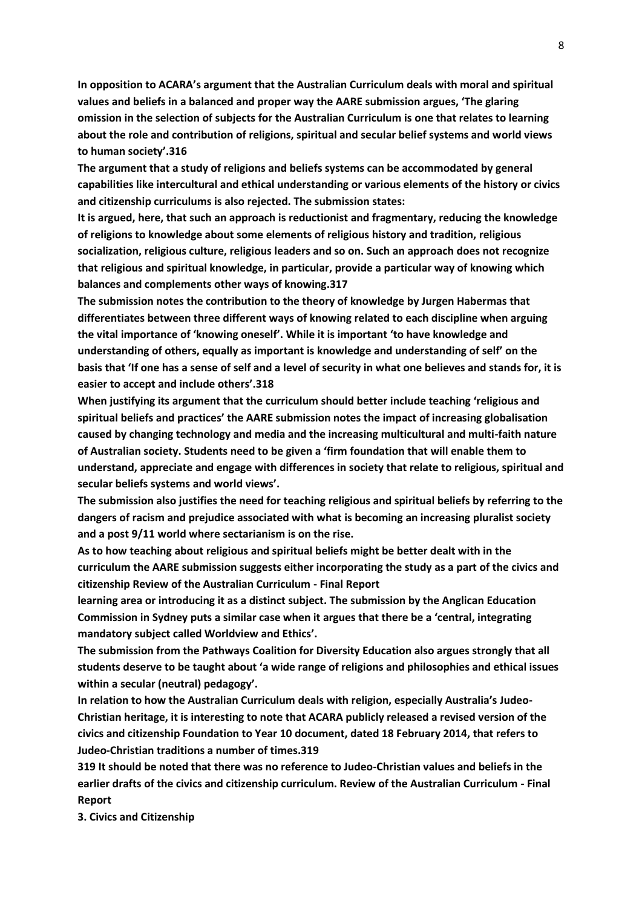**In opposition to ACARA's argument that the Australian Curriculum deals with moral and spiritual values and beliefs in a balanced and proper way the AARE submission argues, 'The glaring omission in the selection of subjects for the Australian Curriculum is one that relates to learning about the role and contribution of religions, spiritual and secular belief systems and world views to human society'.316**

**The argument that a study of religions and beliefs systems can be accommodated by general capabilities like intercultural and ethical understanding or various elements of the history or civics and citizenship curriculums is also rejected. The submission states:**

**It is argued, here, that such an approach is reductionist and fragmentary, reducing the knowledge of religions to knowledge about some elements of religious history and tradition, religious socialization, religious culture, religious leaders and so on. Such an approach does not recognize that religious and spiritual knowledge, in particular, provide a particular way of knowing which balances and complements other ways of knowing.317**

**The submission notes the contribution to the theory of knowledge by Jurgen Habermas that differentiates between three different ways of knowing related to each discipline when arguing the vital importance of 'knowing oneself'. While it is important 'to have knowledge and understanding of others, equally as important is knowledge and understanding of self' on the basis that 'If one has a sense of self and a level of security in what one believes and stands for, it is easier to accept and include others'.318**

**When justifying its argument that the curriculum should better include teaching 'religious and spiritual beliefs and practices' the AARE submission notes the impact of increasing globalisation caused by changing technology and media and the increasing multicultural and multi-faith nature of Australian society. Students need to be given a 'firm foundation that will enable them to understand, appreciate and engage with differences in society that relate to religious, spiritual and secular beliefs systems and world views'.**

**The submission also justifies the need for teaching religious and spiritual beliefs by referring to the dangers of racism and prejudice associated with what is becoming an increasing pluralist society and a post 9/11 world where sectarianism is on the rise.**

**As to how teaching about religious and spiritual beliefs might be better dealt with in the curriculum the AARE submission suggests either incorporating the study as a part of the civics and citizenship Review of the Australian Curriculum - Final Report**

**learning area or introducing it as a distinct subject. The submission by the Anglican Education Commission in Sydney puts a similar case when it argues that there be a 'central, integrating mandatory subject called Worldview and Ethics'.**

**The submission from the Pathways Coalition for Diversity Education also argues strongly that all students deserve to be taught about 'a wide range of religions and philosophies and ethical issues within a secular (neutral) pedagogy'.**

**In relation to how the Australian Curriculum deals with religion, especially Australia's Judeo-Christian heritage, it is interesting to note that ACARA publicly released a revised version of the civics and citizenship Foundation to Year 10 document, dated 18 February 2014, that refers to Judeo-Christian traditions a number of times.319**

**319 It should be noted that there was no reference to Judeo-Christian values and beliefs in the earlier drafts of the civics and citizenship curriculum. Review of the Australian Curriculum - Final Report**

**3. Civics and Citizenship**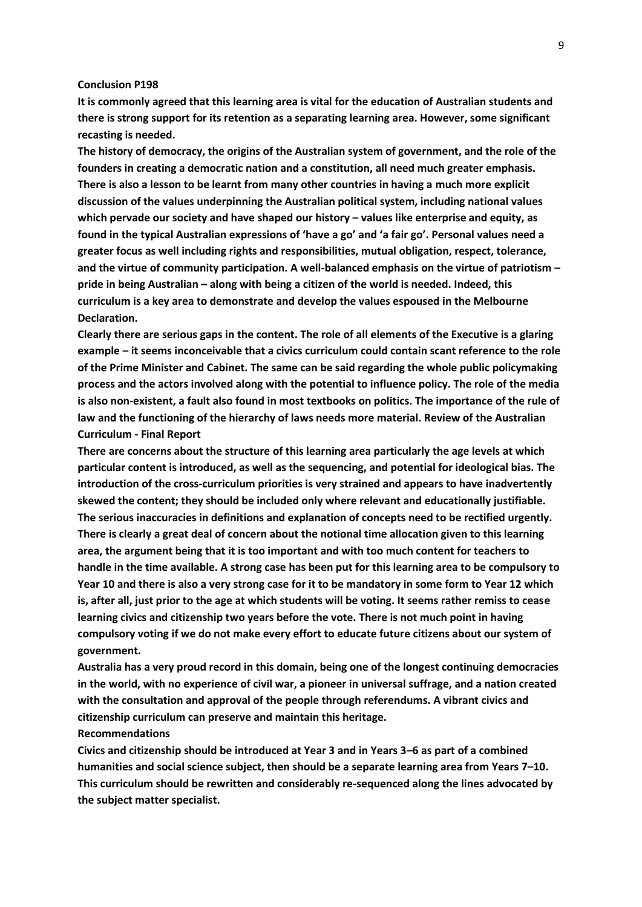#### **Conclusion P198**

**It is commonly agreed that this learning area is vital for the education of Australian students and there is strong support for its retention as a separating learning area. However, some significant recasting is needed.**

**The history of democracy, the origins of the Australian system of government, and the role of the founders in creating a democratic nation and a constitution, all need much greater emphasis. There is also a lesson to be learnt from many other countries in having a much more explicit discussion of the values underpinning the Australian political system, including national values**  which pervade our society and have shaped our history – values like enterprise and equity, as **found in the typical Australian expressions of 'have a go' and 'a fair go'. Personal values need a greater focus as well including rights and responsibilities, mutual obligation, respect, tolerance, and the virtue of community participation. A well-balanced emphasis on the virtue of patriotism – pride in being Australian – along with being a citizen of the world is needed. Indeed, this curriculum is a key area to demonstrate and develop the values espoused in the Melbourne Declaration.**

**Clearly there are serious gaps in the content. The role of all elements of the Executive is a glaring example – it seems inconceivable that a civics curriculum could contain scant reference to the role of the Prime Minister and Cabinet. The same can be said regarding the whole public policymaking process and the actors involved along with the potential to influence policy. The role of the media is also non-existent, a fault also found in most textbooks on politics. The importance of the rule of law and the functioning of the hierarchy of laws needs more material. Review of the Australian Curriculum - Final Report**

**There are concerns about the structure of this learning area particularly the age levels at which particular content is introduced, as well as the sequencing, and potential for ideological bias. The introduction of the cross-curriculum priorities is very strained and appears to have inadvertently skewed the content; they should be included only where relevant and educationally justifiable. The serious inaccuracies in definitions and explanation of concepts need to be rectified urgently. There is clearly a great deal of concern about the notional time allocation given to this learning area, the argument being that it is too important and with too much content for teachers to handle in the time available. A strong case has been put for this learning area to be compulsory to Year 10 and there is also a very strong case for it to be mandatory in some form to Year 12 which is, after all, just prior to the age at which students will be voting. It seems rather remiss to cease learning civics and citizenship two years before the vote. There is not much point in having compulsory voting if we do not make every effort to educate future citizens about our system of government.**

**Australia has a very proud record in this domain, being one of the longest continuing democracies in the world, with no experience of civil war, a pioneer in universal suffrage, and a nation created with the consultation and approval of the people through referendums. A vibrant civics and citizenship curriculum can preserve and maintain this heritage.**

### **Recommendations**

**Civics and citizenship should be introduced at Year 3 and in Years 3–6 as part of a combined humanities and social science subject, then should be a separate learning area from Years 7–10. This curriculum should be rewritten and considerably re-sequenced along the lines advocated by the subject matter specialist.**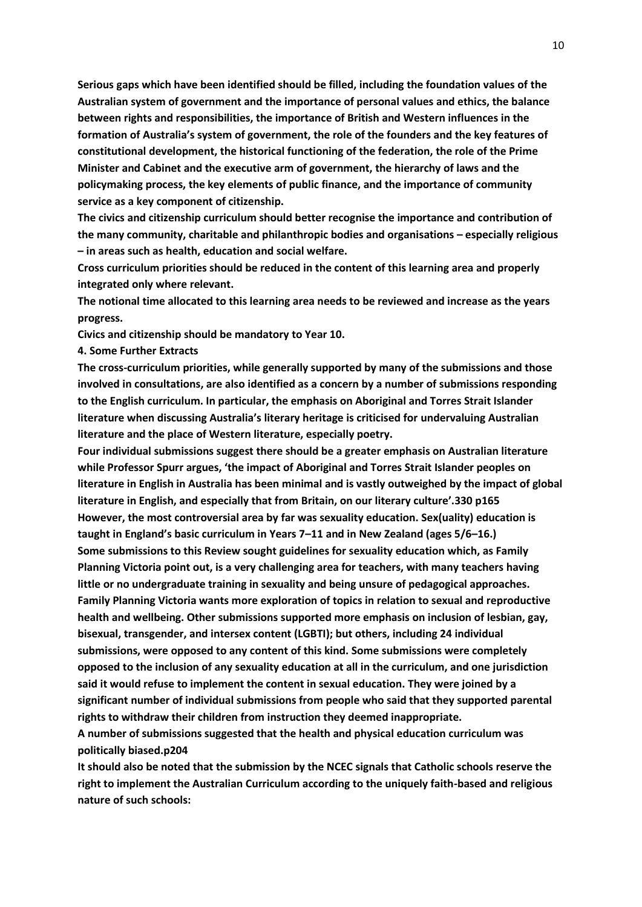**Serious gaps which have been identified should be filled, including the foundation values of the Australian system of government and the importance of personal values and ethics, the balance between rights and responsibilities, the importance of British and Western influences in the formation of Australia's system of government, the role of the founders and the key features of constitutional development, the historical functioning of the federation, the role of the Prime Minister and Cabinet and the executive arm of government, the hierarchy of laws and the policymaking process, the key elements of public finance, and the importance of community service as a key component of citizenship.**

**The civics and citizenship curriculum should better recognise the importance and contribution of the many community, charitable and philanthropic bodies and organisations – especially religious – in areas such as health, education and social welfare.**

**Cross curriculum priorities should be reduced in the content of this learning area and properly integrated only where relevant.**

**The notional time allocated to this learning area needs to be reviewed and increase as the years progress.**

**Civics and citizenship should be mandatory to Year 10.**

**4. Some Further Extracts**

**The cross-curriculum priorities, while generally supported by many of the submissions and those involved in consultations, are also identified as a concern by a number of submissions responding to the English curriculum. In particular, the emphasis on Aboriginal and Torres Strait Islander literature when discussing Australia's literary heritage is criticised for undervaluing Australian literature and the place of Western literature, especially poetry.**

**Four individual submissions suggest there should be a greater emphasis on Australian literature while Professor Spurr argues, 'the impact of Aboriginal and Torres Strait Islander peoples on literature in English in Australia has been minimal and is vastly outweighed by the impact of global literature in English, and especially that from Britain, on our literary culture'.330 p165 However, the most controversial area by far was sexuality education. Sex(uality) education is taught in England's basic curriculum in Years 7–11 and in New Zealand (ages 5/6–16.) Some submissions to this Review sought guidelines for sexuality education which, as Family Planning Victoria point out, is a very challenging area for teachers, with many teachers having little or no undergraduate training in sexuality and being unsure of pedagogical approaches. Family Planning Victoria wants more exploration of topics in relation to sexual and reproductive health and wellbeing. Other submissions supported more emphasis on inclusion of lesbian, gay, bisexual, transgender, and intersex content (LGBTI); but others, including 24 individual submissions, were opposed to any content of this kind. Some submissions were completely opposed to the inclusion of any sexuality education at all in the curriculum, and one jurisdiction said it would refuse to implement the content in sexual education. They were joined by a significant number of individual submissions from people who said that they supported parental rights to withdraw their children from instruction they deemed inappropriate.**

**A number of submissions suggested that the health and physical education curriculum was politically biased.p204**

**It should also be noted that the submission by the NCEC signals that Catholic schools reserve the right to implement the Australian Curriculum according to the uniquely faith-based and religious nature of such schools:**